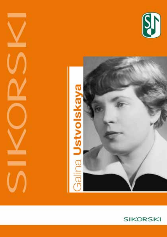



-

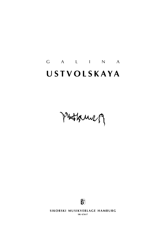# g a l i n a **u s t v o l s k a y a**

Puttanner



**SIKORSKI MUSIKVERLAGE HAMBURG sik 4/5617**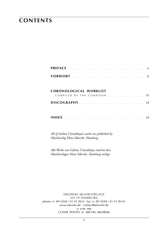### **contents**

#### **chronological worklist**

| COMPILED BY THE COMPOSER  10 |  |  |  |  |  |  |  |
|------------------------------|--|--|--|--|--|--|--|
|                              |  |  |  |  |  |  |  |

*All of Galina Ustvolskaya's works are published by Musikverlag Hans Sikorski, Hamburg.*

*Alle Werke von Galina Ustwolskaja sind bei den Musikverlagen Hans Sikorski, Hamburg verlegt*.

sikorski Musikverlage 20139 hamburg phone: (+ 49) (0)40 / 41 41 00-0 · fax: (+ 49) (0)40 / 41 41 00-41 www.sikorski.de · contact@sikorski.de **17 june 2020** cover photo © archiv sikorski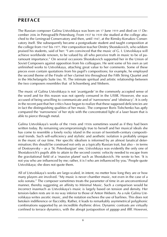### **preface**

The Russian composer Galina Ustvolskaya was born on 17 June 1919 and died on 17 December 2006 in Petrograd/St Petersburg. From 1937 to 1939 she studied at the college attached to the Leningrad Conservatory and then, until 1947, at the Rimsky-Korsakov Conservatory itself. She subsequently became a postgraduate student and taught composition at the college from 1947 bis 1977. Her composition teacher Dmitry Shostakovich, who seldom praised his students, said of her: "I am convinced that the music of G. I. Ustvolskaya will achieve worldwide renown, to be valued by all who perceive truth in music to be of paramount importance." On several occasions Shostakovich supported her in the Union of Soviet Composers against opposition from his colleagues. He sent some of his own as yet unfinished works to Ustvolskaya, attaching great value to her comments. Some of these pieces even contain quotations from his pupil's compositions; for example, he employed the second theme of the Finale of her clarinet trio throughout the Fifth String Quartet and in the Michelangelo Suite (no. 9). The intimate spiritual and artistic relationship between the two composers resembles that of Schoenberg and Webern.

The music of Galina Ustvolskaya is not 'avantgarde' in the commonly accepted sense of the word and for this reason was not openly censured in the USSR. However, she was accused of being unwilling to communicate and of 'narrowness' and 'obstinacy'. It is only in the recent past that her critics have begun to realize that these supposed deficiencies are in fact the distinguishing qualities of her music. The composer Boris Tishchenko has aptly compared the 'narrowness' of her style with the concentrated light of a laser beam that is able to pierce through metal.

Galina Ustvolskaya's works of the 1940s and 1950s sometimes sound as if they had been written today. By remaining uncompromisingly true to herself and her musical ideals she has come to resemble a lonely rocky island in the ocean of twentieth-century compositional trends. Such self-sufficiency and stylistic and aesthetic isolation is probably unique in the music of our time. Her specific idealism is informed by an almost fanatical determination; this should be construed not only as a typically Russian trait, but also – in terms of Dostoyevsky – as a 'St. Petersburgian' one. Ustvolskaya was evidently the only one of Shostakovich's pupils able to attain to the second cosmic velocity needed to escape from the gravitational field of a 'massive planet' such as Shostakovich. He wrote to her. 'It is not you who are influenced by me; rather, it is I who am influenced by you.' People quote Ustvolskaya; she does not quote them.

All of Ustvolskaya's works are large-scaled, in intent, no metter how long they are or how many players are involved. "My music is never chamber music, not even in the case of a solo sonata." The composer sometimes treats the parameter of time in an unconventional manner, thereby suggesting an affinity to Minimal Music. Such a comparison would be incorrect inasmuch as Ustvolskaya's music is largely based on tension and density. Her tension-laden rests are in no way inferior to those of Anton Webern. As a rule Galina Ustvolskaya writes ascetic music, and the notation eschews the use of barlines. This does not betoken indifference or flaccidity. Rather, it leads to remarkably asymmetrical polyphonic combinations supported by an incredible rhythmic drive. Dynamic contrasts are virtually confined to terrace dynamics, with the abrupt juxtaposition of *ppppp* and *fffff*. However,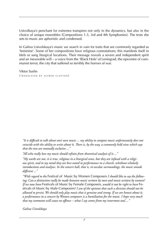Ustvolkaya's penchant for extremes transpires not only in the dynamics, but also in the choice of unique ensembles (Compositions 1-3, 3rd and 4th Symphonies). The texts she sets to music are aphoristic and condensed.

In Galina Ustvolskaya's music we search in vain for traits that are commonly regarded as 'feminine'. Some of her compositions have religious connotations; this manifests itself in titels or sung liturgical locutions. Their message reveals a severe and independent spirit and an inexorable will – a voice from the 'Black Hole' of Leningrad, the epicentre of communist terror, the city that suffered so terribly the horrors of war.

Viktor Suslin  $(r_{\rm RANSIATED~RVAIFRED. CIAYTON})$ 

*"It is difficult to talk about one's own music ... my ability to compose music unfortunately does not coincide with the ability to write about it. There is, by the way, a commonly held view which says that the two are mutually exclusive ..."*

*"All who really love my music should refrain from theoretical analysis of it ..."*

*"My works are not, it is true, religious in a liturgical sense, but they are infused with a religious spirit, and to my mind they are best suited to performance in a church, whithout scholarly introductions and analyses. In the concert hall, that is, in* secular *surroundings, the music sounds different ..."*

*"With regard to the* Festival of Music by Women Composers *I should like to say the following: Can a distinction really be made between music written by men and music written by women? If we now have* Festivals of Music by Female Composers*, would it not be right to have* Festivals of Music by Male Composers*? I am of the opinion that such a division should not be allowed to persist. We should only play music that is genuine and strong. If we are honest about it, a performance in a concert by Women composers is a humiliation for the music. I hope very much that my comments will cause no offence – what I say comes from my innermost soul ..."*

*Galina Ustvolskaya*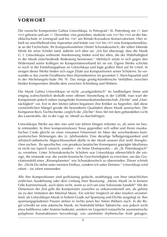### **vorwort**

Die russische Komponistin Galina Ustwolskaja, in Petrograd / St. Petersburg am 17. Juni 1919 geboren und am 17. Dezember 2006 gestorben, studierte von 1937 bis 1939 an der Musikfachschule in Leningrad und bis 1947 am Rimski-Korssakow-Konservatorium. Hier erhielt sie anschließend eine Aspirantur und leitete von 1947 bis 1977 eine Kompositionsklasse an der Fachschule. Ihr Kompositionslehrer Dmitri Schostakowitsch, der selten lobende Worte für seine Schüler fand, äußerte sich über sie: "Ich bin überzeugt, dass die Musik G. I. Ustwolskajas weltweite Anerkennung finden wird bei allen, die der Wahrhaftigkeit in der Musik entscheidende Bedeutung beimessen." Mehrfach setzte er sich gegen den Widerstand seiner Kollegen im Komponistenverband für sie ein. Eigene Werke schickte er noch in der Entstehungsphase an Ustwolskaja und legte großen Wert auf ihr Urteil. In einigen dieser Werke finden sich sogar Zitate aus Kompositionen seiner Schülerin: So verwandte er das zweite Finalthema ihres Klarinettentrios im gesamten 5. Streichquartett und in der Michelangelo-Suite (Nr. 9). Das innige geistig-künstlerische Verhältnis zwischen beiden Komponisten ähnelte dem zwischen Schönberg und Webern.

Die Musik Galina Ustwolskajas ist nicht "avantgardistisch" im landläufigen Sinne und entging wahrscheinlich deshalb einer offenen Verurteilung in der UdSSR; man warf der Komponistin jedoch neben mangelnder Kommunikationsbereitschaft "Dichte" und "Hartnäckigkeit" vor. Erst in den letzten Jahren begannen ihre Kritiker zu begreifen, daß diese vermeintlichen Mängel gerade die besonderen Qualitäten dieser Musik ausmachen. Der Komponist Boris Tischtschenko verglich die "Dichte" ihres Stil mit dem gebündelten Licht des Laserstrahls, der in der Lage ist, Metall zu durchdringen.

Ustwolskajas Werke aus den 40er und 50er Jahren klingen mitunter so, als seien sie heute entstanden. In ihrer kompromisslosen Treue gegenüber sich selbst und ihrem musikalischen Credo gleicht sie einer einsamen Felseninsel im Meer der verschiedenen kompositorischen Strömungen des 20. Jahrhunderts. Eine derartige Selbstgenügsamkeit und stilistisch-ästhetische Abgeschlossenheit dürfte in der Musik unserer Zeit wohl ihresgleichen suchen. Ihr spezifischer, von geradezu fanatischer Konsequenz geprägter Idealismus ist nicht nur typisch russisch, sondern – im Sinne Dostojewskis – als "St. Petersburgisch" zu verstehen. Unter Schostakowitschs Schülern war Ustwolskaja offensichtlich die einzige, die imstande war, die zweite kosmische Geschwindigkeit zu erreichen, um das Gravitationsfeld eines "Riesenplaneten" wie Schostakowitsch zu überwinden. Dieser schrieb ihr: "Nicht Du stehst unter meinem Einfluss, sondern ich unter Deinem." Ustwolskaja wird zitiert – sie zitiert niemanden.

Alle ihre Kompositionen sind großräumig gedacht, unabhängig von ihrer tatsächlichen zeitlichen Ausdehnung oder dem Umfang ihrer Besetzung: "Meine Musik ist in keinem Falle Kammermusik, auch dann nicht, wenn es sich um eine Solosonate handelt!" Mit der Dimension der Zeit geht die Komponistin zuweilen so unkonventionell um, als gehöre sie zu den Vertretern der Minimal Music. Ein solcher Vergleich ist aber insofern unzutreffend, als Ustwolskajas Musik in hohem Grade auf Spannung und Dichte ausgelegt ist. Ihre spannungsgeladenen Pausen stehen in nichts jenen bei Anton Webern nach. In der Regel schreibt sie eine asketische Musik, im Notenbild fehlen Taktstriche, was jedoch nicht etwa Indifferenz oder Anämie bedeutet, sondern im Gegenteil erstaunliche asymmetrische polyphone Konstruktionen hervorbringt, von unerhörter rhythmischer Kraft getragen.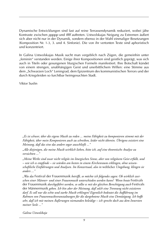Dynamische Entwicklungen sind fast auf reine Terrassendynamik reduziert, wobei jähe Kontraste zwischen *ppppp* und *fffff* auftreten. Ustwolskajas Neigung zu Extremen äußert sich aber nicht nur in der Dynamik, sondern ebenso in der Wahl einmaliger Besetzungen (Komposition Nr. 1-3, 3. und 4. Sinfonie). Die von ihr vertonten Texte sind aphoristisch und konzentriert.

In Galina Ustwolskajas Musik sucht man vergeblich nach Zügen, die gemeinhin unter "feminin" verstanden werden. Einige ihrer Kompositionen sind geistlich geprägt, was sich auch in Titeln oder gesungenen liturgischen Formeln manifestiert. Ihre Botschaft kündet von einem strengen, unabhängigen Geist und unerbittlichem Willen: eine Stimme aus dem "Schwarzen Loch" Leningrad, dem Epizentrum des kommunistischen Terrors und der durch Kriegsleiden so furchtbar heimgesuchten Stadt.

Viktor Suslin

*"Es ist schwer, über die eigene Musik zu reden ... meine Fähigkeit zu komponieren stimmt mit der Fähigkeit, über mein Komponieren auch zu schreiben, leider nicht überein. Übrigens existiert eine Meinung, daß das eine das andere sogar ausschließt ..."*

*"Alle diejenigen, die meine Musik wirklich lieben, bitte ich, auf eine theoretische Analyse zu verzichten ..."*

*"Meine Werke sind zwar nicht religiös im liturgischen Sinne, aber von religiösem Geist erfüllt, und – wie ich es empfinde – sie würden am besten in einem Kirchenraum erklingen, ohne wissenschaftliche Einführungen und Analysen. Im Konzertsaal, also in* weltlicher *Umgebung, klingen sie anders ..."*

*"Was das* Festival der Frauenmusik *betrifft, so möchte ich folgendes sagen: Ob wirklich zwischen einer Männer- und einer Frauenmusik unterschieden werden kann? Wenn heute* Festivals der Frauenmusik *durchgeführt werden, so sollte es mit der gleichen Berechtigung auch* Festivals der Männermusik *geben. Ich bin aber der Meinung, daß solch eine Trennung nicht existieren darf. Es soll nur die echte und starke Musik erklingen! Eigentlich bedeutet die Aufführung im Rahmen von Frauenmusikveranstaltungen für die dargebotene Musik eine Demütigung. Ich hoffe sehr, daß ich mit meinen Äußerungen niemanden beleidige – ich spreche doch aus dem Innersten meiner Seele ..."*

*Galina Ustwolskaja*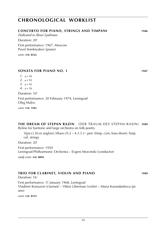#### **CONCERTO for piano, strings and timpani 1946**

*Dedicated to Alexei Lyubimov*

Duration: 20'

First performance: 1967, Moscow Pavel Serebryakov (piano)

*score:* **s i k 8522**

#### **SONATA for piano NO. 1 1947**

#### *1*.  $l = 56$

- 2.  $l = 92$
- 3.  $J = 42$
- *4*.  $l = 56$

Duration: 10' First performance: 20 February 1974, Leningrad Oleg Malov

*score:* **s i k 1943**

#### **THE DREAM OF STEPAN RAZIN** (der traum des STEPAN RASIN) **1949**

Byline for baritone and large orchestra on folk poetry

 $3(pice).3(cor \text{ anglais}).3(bass \text{ cl}).2 - 4.3.3.1 - \text{perc (timp, cym, bass drum)}.$  harp. cel. strings

Duration: 20'

First performance: 1950 Leningrad Philharmonic Orchestra – Evgeni Mravinski (conductor)

*study score:* **s i k 8894**

#### **TRIO for clarinet, violin and piano 1949**

Duration: 16' First performance: 11 January 1968, Leningrad Vladimir Krassavin (clarinet) – Viktor Liberman (violin) – Maria Karandashova (piano)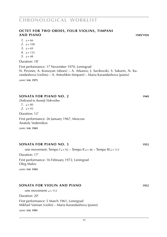#### **OCTET for two oboes, four violins, Timpani and piano 1949**/**1950**

- $1. \, \, J = 66$
- 2.  $l = 108$
- 3.  $l = 69$
- $4. \ \ \epsilon = 132$
- *5*.  $J = 48$

#### Duration: 18'

First performance: 17 November 1970, Leningrad N. Pevsner, A. Kossoyan (oboes) – A. Arkanov, J. Savikovski, S. Sakurin, N. Karandashova (violins) – A. Antoshkin (timpani) – Maria Karandashova (piano)

*score:* **s i k 1975**

#### **SONATA for piano NO. 2 1949**

*Dedicated to Anatoly Vedernikov*

*1*.  $l = 80$ 

2.  $l = 92$ 

Duration: 12'

First performance: 26 January 1967, Moscow Anatoly Vedernikov

*score:* **s i k 1943**

#### **SONATA for piano NO. 3 1952**

one movement: Tempo  $I = 92 - Tempo II = 46 - Tempo III = 112$ Duration: 17' First performance: 16 February 1972, Leningrad Oleg Malov

*score:* **s i k 1943**

#### **SONATA for violin and piano 1952**

one movement:  $l = 112$ 

Duration: 20' First performance: 5 March 1961, Leningrad Mikhail Vaiman (violin) – Maria Karandashova (piano)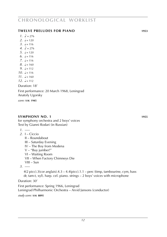#### **TWELVE PRELUDES for piano 1953**

*1*.  $\sqrt{ } = 276$ 

- 2.  $l = 120$
- *3*.  $J = 116$
- *4*.  $\lambda = 276$
- $5. \, \, J = 120$
- *6*.  $J = 116$
- *7.*  $J = 116$
- *8*.  $\sqrt{ } = 160$
- *9.*  $l = 112$
- *10.*  $l = 116$
- $11. \quad J = 160$  $12. J = 112$

Duration: 18'

First performance: 20 March 1968, Leningrad

Anatoly Ugorsky

*score:* **s i k 1945**

#### **SYMPHONY NO. 1 1955**

for symphony orchestra and 2 boys' voices Text by Gianni Rodari (in Russian)

- *1*. –––
- *2*. I Ciccio II – Roundabout III – Saturday Evening IV – The Boy from Modena V – "Buy jumber!" VI – Waiting Room
	- VII When Factory Chimneys Die
	- VIII Sun

*3*. –––

 $4(2 \text{ picc})$ .3(cor anglais). $4.3 - 4.4(\text{picc})$ .1.1 – perc (timp, tambourine, cym, bass dr, tam-t, xyl). harp. cel. piano. strings – 2 boys' voices with microphone

Duration: 30'

First performance: Spring 1966, Leningrad Leningrad Philharmonic Orchestra – Arvid Jansons (conductor)

*study score:* **s i k 8895**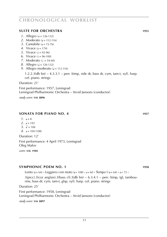#### **SUITE for orchestra 1955**

- *1*. Allegro ( $J = 126-132$ )
- 2. Moderato  $\vec{a} = 112 116$
- 3. Cantabile  $(d = 72 76)$
- *4.* Vivace  $(d = 174)$
- *5.* Vivace  $\mathcal{L} = 92-96$
- *6*. Vivace  $\sqrt{e} = 96-100$
- *7.* Moderato  $(s = 54-60)$
- *8*. Allegro ( $J = 126-132$ )
- *9.* Allegro moderato ( $\sqrt{ }$  = 112-116)

1.2.2.3(db bn) – 4.3.3.1 – perc (timp, side dr, bass dr, cym, tam-t, xyl). harp. cel. piano. strings

Duration: 21'

First performance: 1957, Leningrad Leningrad Philharmonic Orchestra – Arvid Jansons (conductor)

*study score:* **s i k 8896**

#### **SONATA FOR PIANO NO. 4 1957**

- *1*.  $l = 8$
- 2.  $l = 192$
- *3.*  $l = 184$
- $4. \ \ \epsilon = 104 (108)$

Duration: 12'

First performance: 4 April 1973, Leningrad Oleg Malov

*score:* **s i k 1944**

#### **SymphONIC POEM no. 1 1958**

Lento  $(1 - 64) \cdot$  Leggiero con moto  $(1 - 108) \cdot$   $(1 - 60 \cdot$  Tempo I  $(1 - 64) \cdot$   $(1 - 72 \cdot$ 

 $3(pice).3(cor \text{ anglais}).3(bass \text{ cl}).3(db \text{ bn}) - 6.3.4.1 - \text{perc (timp, tgl, tambou-}$ rine, bass dr, cym, tam-t, glsp, xyl). harp. cel. piano. strings

Duration: 25'

First performance: 1958, Leningrad Leningrad Philharmonic Orchestra – Arvid Jansons (conductor) *study score:* **s i k 8897**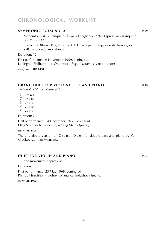#### **SymphONIC POEM no. 2 1959**

Moderato ( $= 88$ ) **·** Tranquillo ( $= 64$ ) · Energico ( $= 108$ ) · Espressivo · Tranquillo  $(a = 52) \cdot a = 72$ 

 $3(2picc).2.3(bass cl).3(db bn) - 4.3.3.1 - 3 perc (timp, side dr, bass dr, cym,$ xyl). harp. cel/piano. strings

Duration: 12'

First performance: 6 November 1959, Leningrad

Leningrad Philharmonic Orchestra – Evgeni Mravinsky (conductor)

*study score:* **s i k 8898**

#### **GRAND DUET for violoncello and piano 1959**

*Dedicated to Mstislav Rostropvich*

- *1*.  $\Delta = 276$
- *2*.  $J = 120$
- 3.  $J = 116$
- *4*.  $l = 160$
- $5. \quad J = 112$

Duration: 26'

First performance: 14 December 1977, Leningrad Oleg Stolpner (violoncello) – Oleg Malov (piano)

*score:* **s i k 1805**

There is also a version of Grand Duet for double bass and piano by Yuri Gladkov (2017) *score:* **s i k 8893**

#### **DUET for violin and piano 1964**

one movement: Espressivo

Duration: 25'

First performance: 23 May 1968, Leningrad Philipp Hirschhorn (violin) – Maria Karandashova (piano)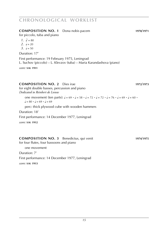### **COMPOSITION NO. 1** Dona nobis pacem **1970**/**1971** for piccolo, tuba and piano  $1. \quad \Box = 80$ 2.  $l = 20$  $3 \t-50$ Duration: 17' First performance: 19 February 1975, Leningrad L. Suchov (piccolo) – L. Klevzov (tuba) – Maria Karandashova (piano) *score:* **s i k 1911**

#### **COMPOSITION NO. 2** Dies irae **1972**/**1973**

for eight double basses, percussion and piano *Dedicated to Reinbert de Leeuw*

one movement (ten parts):  $\sqrt{a} = 69 \cdot \sqrt{a} = 58 \cdot \sqrt{a} = 72 \cdot \sqrt{a} = 76 \cdot \sqrt{a} = 69 \cdot \sqrt{a} = 60 \cdot \sqrt{a}$  $\frac{1}{2} = 80 \cdot \frac{1}{2} = 69 \cdot \frac{1}{2} = 69$ 

perc: thick plywood cube with wooden hammers

Duration: 18'

First performance: 14 December 1977, Leningrad

*score:* **s i k 1912**

#### **COMPOSITION NO. 3** Benedictus, qui venit **1974**/**1975** for four flutes, four bassoons and piano

one movement

Duration: 7'

First performance: 14 December 1977, Leningrad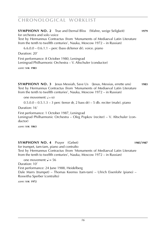**SYMPHONY NO. 2** True and Eternal Bliss (Wahre, weige Seligkeit) **1979** for orchestra and solo voice Text by Hermannus Contractus (from 'Monuments of Mediaeval Latin Literature from the tenth to twelfth centuries', Nauka, Moscow 1972 – in Russian)

 $6.6.0.0 - 0.6.1.1 -$  perc (bass dr/tenor dr), voice, piano

Duration: 20'

First performance: 8 October 1980, Leningrad

Leningrad Philharmonic Orchestra – V. Altschuler (conductor)

*score:* **s i k 1983**

**SYMPHONY NO. 3** Jesus Messiah, Save Us (Jesus, Messias, errette uns) **1983** Text by Hermannus Contractus (from 'Monuments of Mediaeval Latin Literature from the tenth to twelfth centuries', Nauka, Moscow 1972 – in Russian)

one movement:  $a = 60$ 

 $0.5.0.0 - 0.5.1.3 - 3$  perc (tenor dr, 2 bass dr) – 5 db. reciter (male). piano

Duration: 16'

First performance: 1 October 1987, Leningrad

Leningrad Philharmonic Orchestra – Oleg Popkov (reciter) – V. Altschuler (conductor)

*score:* **s i k 1863**

#### **SYMPHONY NO. 4** Prayer (Gebet) **1985**/**1987**

for trumpet, tam-tam, piano and contralto Text by Hermannus Contractus (from 'Monuments of Mediaeval Latin Literature from the tenth to twelfth centuries', Nauka, Moscow 1972 – in Russian)

one movement:  $J = 56$ Duration: 10' First performance: 24 June 1988, Heidelberg Dale Marrs (trumpet) – Thomas Keemss (tam-tam) – Ulrich Eisenlohr (piano) – Roswitha Sperber (contralto) *score:* **s i k 1972**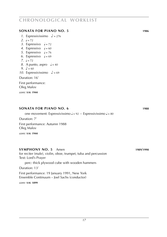#### **SONATA for piano NO. 5 1986**

- *1*. Espressivissimo  $\sqrt{ }$  = 276
- 2.  $l = 72$
- 3. Espressivo  $J = 72$
- 4. Espressivo  $= 60$
- *5*. Espressivo  $\sqrt{ }$  = 76
- 6. Espressivo  $J = 69$
- *7.*  $\sqrt{a} = 72$
- *8*. A punto, aspro  $\sqrt{ } = 40$
- *9.*  $\sqrt{ } = 60$
- *10.* Espressivissimo  $\sqrt{ }$  = 69

#### Duration: 16'

First performance: Oleg Malov

*score:* **s i k 1944**

### one movement: Espressivissimo  $J = 92$  **·** Espressivissimo  $J = 80$ Duration: 7' First performance: Autumn 1988 Oleg Malov *score:* **s i k 1944 SYMPHONY NO. 5** Amen **1989**/**1990** for reciter (male), violin, oboe, trumpet, tuba and percussion Text: Lord's Prayer perc: thick plywood cube with wooden hammers Duration: 13'

**SONATA for piano NO. 6 1988**

First performance: 19 January 1991, New York Ensemble Continuum – Joel Sachs (conductor)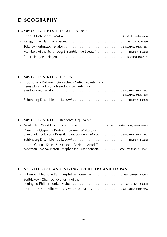#### **COMPOSITION NO. 1** Dona Nobis Pacem

#### **COMPOSITION NO. 2** Dies Irae

| - Propischin · Kolosov · Goryachev · Vulik · Kovulenko · |
|----------------------------------------------------------|
| Peresipkin · Sokolov · Nefedov · Javmertchik ·           |
|                                                          |
| <b>MEGADISC MDC 7858</b>                                 |
|                                                          |

#### **COMPOSITION NO. 3** Benedictus, qui venit

| - Amsterdam Wind Ensemble · Friesen RN (Radio Netherlands) / GLOBE 6903                                                                                                                         |
|-------------------------------------------------------------------------------------------------------------------------------------------------------------------------------------------------|
| - Danilina $\cdot$ Osipova $\cdot$ Rodina $\cdot$ Tokarev $\cdot$ Makarov $\cdot$<br>Shevchuk · Sokolov · Krasnik · Sandovskaya · Malov MEGADISC MDC 7867                                       |
|                                                                                                                                                                                                 |
| $\overline{\phantom{a}}$ lones $\cdot$ Coffin $\cdot$ Keen $\cdot$ Stevenson $\cdot$ O'Neill $\cdot$ Antcliffe $\cdot$<br>Newman · McNaughton · Stephenson · Stephenson. coniFER 75605 51 194-2 |

#### **CONCERTO for piano, string orchestra and timpani**

| - Seribiakov $\cdot$ Chamber Orchestra of the                      |  |
|--------------------------------------------------------------------|--|
|                                                                    |  |
| - Liss · The Ural Philharmonic Orchestra · Malov MEGADISC MDC 7856 |  |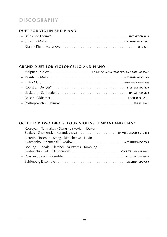#### **DUET for violin and piano**

#### **GRAND DUET for violoncello and piano**

#### **OCTET for two oboes, four violins, timpani and piano**

| - Kossoyan · Tchinakov · Stang · Liskovich · Dukor ·<br>Soakov · Snamenski · Karandashova (LP) MELODIA C10 0 715 152 |
|----------------------------------------------------------------------------------------------------------------------|
| - Neretin $\cdot$ Tosenko $\cdot$ Stang $\cdot$ Ritalchenko $\cdot$ Lukin $\cdot$                                    |
| $-$ Bohling Tindale Fletcher Muszaros Tombling $\cdot$                                                               |
|                                                                                                                      |
|                                                                                                                      |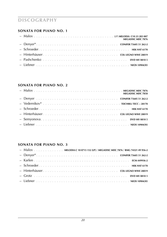#### **SONATA for piano NO. 1**

| <b>MEGADISC MDC 7876</b> |
|--------------------------|
|                          |
|                          |
|                          |
|                          |
|                          |

#### **SONATA for piano NO. 2**

| <b>MEGADISC MDC 7858</b> |
|--------------------------|
|                          |
|                          |
|                          |
|                          |
|                          |
|                          |

#### **SONATA for piano NO. 3**

| - Malov MELODIA C 10 0715 152 (LP) / MEGADISC MDC 7876 / BMG 74321 49 956-2 |  |  |  |
|-----------------------------------------------------------------------------|--|--|--|
|                                                                             |  |  |  |
|                                                                             |  |  |  |
|                                                                             |  |  |  |
|                                                                             |  |  |  |
|                                                                             |  |  |  |
|                                                                             |  |  |  |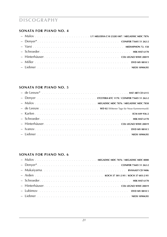#### **SONATA for piano NO. 4**

#### **SONATA for piano NO. 5**

#### **SONATA for piano NO. 6**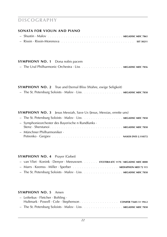#### **SONATA for violin and piano**

#### **SYMPHONY NO. 1** Dona nobis pacem

|  | $-$ The Ural Philharmonic Orchestra $\cdot$ Liss $\ldots$ , $\ldots$ , $\ldots$ , $\ldots$ |  |  | <b>MEGADISC MDC 7856</b> |
|--|--------------------------------------------------------------------------------------------|--|--|--------------------------|
|--|--------------------------------------------------------------------------------------------|--|--|--------------------------|

#### **SYMPHONY NO. 2** True and Eternal Bliss (Wahre, ewige Seligkeit) – The St. Petersburg Soloists · Malov · Liss. . . . . . . . . . . . . . . . . . **MEGADISC MDC 7858**

### **SYMPHONY NO. 3** Jesus Messiah, Save Us (Jesus, Messias, errette uns)

| - Symphonieorchester des Bayerische n Rundfunks · |  |
|---------------------------------------------------|--|
|                                                   |  |
| $-$ Münchner Philharmoniker $\cdot$               |  |
|                                                   |  |

#### **SYMPHONY NO. 4** Prayer (Gebet)

| - van Vliet · Konink · Denyer · Meeuwsen ETCETERA KTC 1170 / MEGADISC MDC 8000 |
|--------------------------------------------------------------------------------|
|                                                                                |
|                                                                                |

#### **SYMPHONY NO. 5** Amen

| - Leiferkus · Fletcher · Bohling ·                                                                                       |  |
|--------------------------------------------------------------------------------------------------------------------------|--|
| Hultmark · Powell · Cole · Stephenson conifer 75605 51 194-2                                                             |  |
| $-$ The St. Petersburg Soloists $\cdot$ Malov $\cdot$ Liss $\ldots \ldots \ldots \ldots \ldots \ldots$ MEGADISC MDC 7858 |  |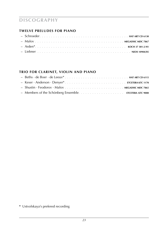#### **TWELVE PRELUDES for piano**

#### **TRIO for clarinet, violin and piano**

**\*** Ustvolskaya's prefered recording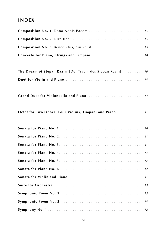### **index**

| Composition No. 1 Dona Nobis Pacem  15                     |  |
|------------------------------------------------------------|--|
|                                                            |  |
| Composition No. 3 Benedictus, qui venit  15                |  |
|                                                            |  |
|                                                            |  |
| The Dream of Stepan Razin [Der Traum des Stepan Rasin]  10 |  |
|                                                            |  |
|                                                            |  |
| Grand Duet for Violoncello and Piano 14                    |  |
|                                                            |  |
| Octet for Two Oboes, Four Violins, Timpani and Piano 11    |  |
|                                                            |  |
|                                                            |  |
|                                                            |  |
|                                                            |  |
|                                                            |  |
|                                                            |  |
|                                                            |  |
|                                                            |  |
|                                                            |  |
|                                                            |  |
|                                                            |  |
|                                                            |  |